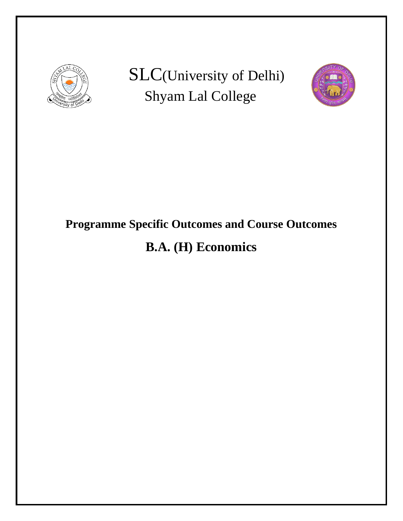

SLC(University of Delhi) Shyam Lal College



## **Programme Specific Outcomes and Course Outcomes**

# **B.A. (H) Economics**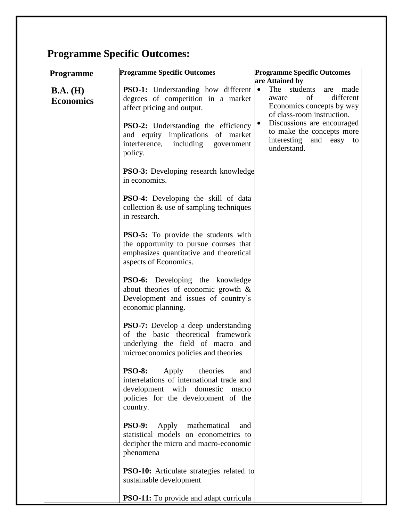## **Programme Specific Outcomes:**

| <b>Programme</b>             | <b>Programme Specific Outcomes</b>                                                                                                                                              | <b>Programme Specific Outcomes</b>                                                                              |
|------------------------------|---------------------------------------------------------------------------------------------------------------------------------------------------------------------------------|-----------------------------------------------------------------------------------------------------------------|
|                              |                                                                                                                                                                                 | are Attained by<br>The<br>students                                                                              |
| B.A. (H)<br><b>Economics</b> | PSO-1: Understanding how different<br>degrees of competition in a market<br>affect pricing and output.                                                                          | are<br>made<br>$\bullet$<br>different<br>of<br>aware<br>Economics concepts by way<br>of class-room instruction. |
|                              | <b>PSO-2:</b> Understanding the efficiency<br>and equity implications of market<br>interference, including<br>government<br>policy.                                             | Discussions are encouraged<br>٠<br>to make the concepts more<br>interesting and easy to<br>understand.          |
|                              | <b>PSO-3:</b> Developing research knowledge<br>in economics.                                                                                                                    |                                                                                                                 |
|                              | <b>PSO-4:</b> Developing the skill of data<br>collection $&$ use of sampling techniques<br>in research.                                                                         |                                                                                                                 |
|                              | <b>PSO-5:</b> To provide the students with<br>the opportunity to pursue courses that<br>emphasizes quantitative and theoretical<br>aspects of Economics.                        |                                                                                                                 |
|                              | <b>PSO-6:</b> Developing the knowledge<br>about theories of economic growth $\&$<br>Development and issues of country's<br>economic planning.                                   |                                                                                                                 |
|                              | <b>PSO-7:</b> Develop a deep understanding<br>of the basic theoretical framework<br>underlying the field of macro and<br>microeconomics policies and theories                   |                                                                                                                 |
|                              | <b>PSO-8:</b><br>Apply<br>theories<br>and<br>interrelations of international trade and<br>development with domestic<br>macro<br>policies for the development of the<br>country. |                                                                                                                 |
|                              | <b>PSO-9:</b><br>mathematical<br>Apply<br>and<br>statistical models on econometrics to<br>decipher the micro and macro-economic<br>phenomena                                    |                                                                                                                 |
|                              | <b>PSO-10:</b> Articulate strategies related to<br>sustainable development                                                                                                      |                                                                                                                 |
|                              | <b>PSO-11:</b> To provide and adapt curricula                                                                                                                                   |                                                                                                                 |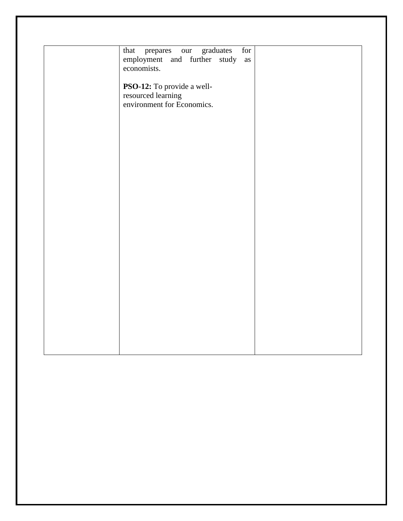| that<br>prepares our graduates<br>for<br>employment and further study<br>as |  |
|-----------------------------------------------------------------------------|--|
| economists.                                                                 |  |
| PSO-12: To provide a well-                                                  |  |
| resourced learning<br>environment for Economics.                            |  |
|                                                                             |  |
|                                                                             |  |
|                                                                             |  |
|                                                                             |  |
|                                                                             |  |
|                                                                             |  |
|                                                                             |  |
|                                                                             |  |
|                                                                             |  |
|                                                                             |  |
|                                                                             |  |
|                                                                             |  |
|                                                                             |  |
|                                                                             |  |
|                                                                             |  |
|                                                                             |  |
|                                                                             |  |
|                                                                             |  |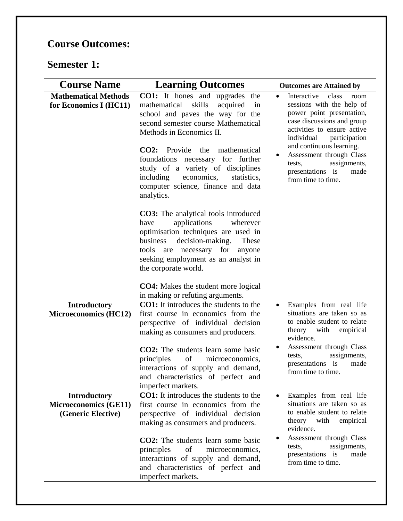### **Course Outcomes:**

#### **Semester 1:**

| <b>Course Name</b>                                                        | <b>Learning Outcomes</b>                                                                                                                                                                                                                                                                                                                                                                                   | <b>Outcomes are Attained by</b>                                                                                                                                                                                                                                                                                                                  |
|---------------------------------------------------------------------------|------------------------------------------------------------------------------------------------------------------------------------------------------------------------------------------------------------------------------------------------------------------------------------------------------------------------------------------------------------------------------------------------------------|--------------------------------------------------------------------------------------------------------------------------------------------------------------------------------------------------------------------------------------------------------------------------------------------------------------------------------------------------|
| <b>Mathematical Methods</b><br>for Economics I (HC11)                     | <b>CO1:</b> It hones and upgrades<br>the<br>mathematical<br>skills<br>acquired<br>in<br>school and paves the way for the<br>second semester course Mathematical<br>Methods in Economics II.<br>CO2: Provide<br>the<br>mathematical<br>foundations necessary for further<br>study of a variety of disciplines<br>economics,<br>including<br>statistics,<br>computer science, finance and data<br>analytics. | Interactive<br>class<br>$\bullet$<br>room<br>sessions with the help of<br>power point presentation,<br>case discussions and group<br>activities to ensure active<br>individual<br>participation<br>and continuous learning.<br>Assessment through Class<br>$\bullet$<br>assignments,<br>tests,<br>presentations is<br>made<br>from time to time. |
|                                                                           | <b>CO3:</b> The analytical tools introduced<br>applications<br>wherever<br>have<br>optimisation techniques are used in<br>decision-making.<br>business<br>These<br>tools are necessary for<br>anyone<br>seeking employment as an analyst in<br>the corporate world.<br><b>CO4:</b> Makes the student more logical                                                                                          |                                                                                                                                                                                                                                                                                                                                                  |
|                                                                           | in making or refuting arguments.                                                                                                                                                                                                                                                                                                                                                                           |                                                                                                                                                                                                                                                                                                                                                  |
| <b>Introductory</b><br><b>Microeconomics (HC12)</b>                       | <b>CO1:</b> It introduces the students to the<br>first course in economics from the<br>perspective of individual decision<br>making as consumers and producers.                                                                                                                                                                                                                                            | Examples from real life<br>$\bullet$<br>situations are taken so as<br>to enable student to relate<br>theory with empirical<br>evidence.                                                                                                                                                                                                          |
|                                                                           | <b>CO2</b> : The students learn some basic<br>principles<br>of<br>microeconomics,<br>interactions of supply and demand,<br>and characteristics of perfect and<br>imperfect markets.                                                                                                                                                                                                                        | Assessment through Class<br>assignments,<br>tests,<br>presentations is<br>made<br>from time to time.                                                                                                                                                                                                                                             |
| <b>Introductory</b><br><b>Microeconomics (GE11)</b><br>(Generic Elective) | <b>CO1:</b> It introduces the students to the<br>first course in economics from the<br>perspective of individual decision<br>making as consumers and producers.<br><b>CO2:</b> The students learn some basic<br>principles<br>of<br>microeconomics,<br>interactions of supply and demand,<br>and characteristics of perfect and<br>imperfect markets.                                                      | Examples from real life<br>$\bullet$<br>situations are taken so as<br>to enable student to relate<br>theory with empirical<br>evidence.<br>Assessment through Class<br>assignments,<br>tests,<br>presentations is<br>made<br>from time to time.                                                                                                  |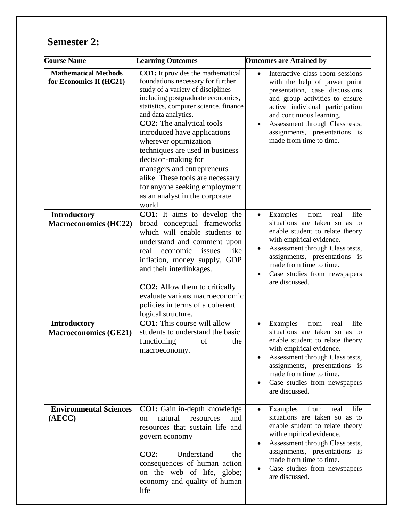### **Semester 2:**

| <b>Course Name</b>                                     | <b>Learning Outcomes</b>                                                                                                                                                                                                                                                                                                                                                                                                                                                                                                      | <b>Outcomes are Attained by</b>                                                                                                                                                                                                                                                                                             |
|--------------------------------------------------------|-------------------------------------------------------------------------------------------------------------------------------------------------------------------------------------------------------------------------------------------------------------------------------------------------------------------------------------------------------------------------------------------------------------------------------------------------------------------------------------------------------------------------------|-----------------------------------------------------------------------------------------------------------------------------------------------------------------------------------------------------------------------------------------------------------------------------------------------------------------------------|
| <b>Mathematical Methods</b><br>for Economics II (HC21) | <b>CO1:</b> It provides the mathematical<br>foundations necessary for further<br>study of a variety of disciplines<br>including postgraduate economics,<br>statistics, computer science, finance<br>and data analytics.<br><b>CO2:</b> The analytical tools<br>introduced have applications<br>wherever optimization<br>techniques are used in business<br>decision-making for<br>managers and entrepreneurs<br>alike. These tools are necessary<br>for anyone seeking employment<br>as an analyst in the corporate<br>world. | Interactive class room sessions<br>$\bullet$<br>with the help of power point<br>presentation, case discussions<br>and group activities to ensure<br>active individual participation<br>and continuous learning.<br>Assessment through Class tests,<br>$\bullet$<br>assignments, presentations is<br>made from time to time. |
| <b>Introductory</b><br><b>Macroeconomics (HC22)</b>    | <b>CO1:</b> It aims to develop the<br>broad conceptual frameworks<br>which will enable students to<br>understand and comment upon<br>economic<br>issues<br>like<br>real<br>inflation, money supply, GDP<br>and their interlinkages.<br><b>CO2:</b> Allow them to critically<br>evaluate various macroeconomic<br>policies in terms of a coherent<br>logical structure.                                                                                                                                                        | from<br>life<br>Examples<br>real<br>situations are taken so as to<br>enable student to relate theory<br>with empirical evidence.<br>Assessment through Class tests,<br>assignments, presentations is<br>made from time to time.<br>Case studies from newspapers<br>are discussed.                                           |
| <b>Introductory</b><br><b>Macroeconomics (GE21)</b>    | <b>CO1:</b> This course will allow<br>students to understand the basic<br>functioning<br>of<br>the<br>macroeconomy.                                                                                                                                                                                                                                                                                                                                                                                                           | life<br>Examples<br>from<br>real<br>$\bullet$<br>situations are taken so as to<br>enable student to relate theory<br>with empirical evidence.<br>Assessment through Class tests,<br>assignments, presentations is<br>made from time to time.<br>Case studies from newspapers<br>are discussed.                              |
| <b>Environmental Sciences</b><br>(AECC)                | <b>CO1:</b> Gain in-depth knowledge<br>natural<br>resources<br>and<br>on<br>resources that sustain life and<br>govern economy<br>$CO2$ :<br>Understand<br>the<br>consequences of human action<br>on the web of life, globe;<br>economy and quality of human<br>life                                                                                                                                                                                                                                                           | life<br>Examples<br>from<br>real<br>$\bullet$<br>situations are taken so as to<br>enable student to relate theory<br>with empirical evidence.<br>Assessment through Class tests,<br>٠<br>assignments, presentations is<br>made from time to time.<br>Case studies from newspapers<br>are discussed.                         |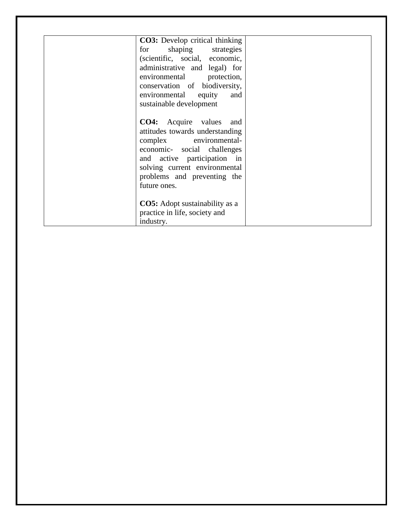| <b>CO3:</b> Develop critical thinking  |  |
|----------------------------------------|--|
| shaping strategies<br>for              |  |
| (scientific, social, economic,         |  |
| administrative and legal) for          |  |
| environmental protection,              |  |
| conservation of biodiversity,          |  |
| environmental equity<br>and            |  |
| sustainable development                |  |
|                                        |  |
| <b>CO4:</b> Acquire values<br>and      |  |
| attitudes towards understanding        |  |
| complex environmental-                 |  |
| economic- social challenges            |  |
| and active participation in            |  |
| solving current environmental          |  |
| problems and preventing the            |  |
| future ones.                           |  |
|                                        |  |
| <b>CO5</b> : Adopt sustainability as a |  |
| practice in life, society and          |  |
| industry.                              |  |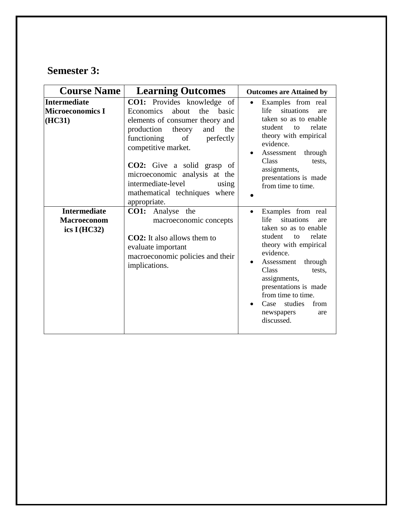#### **Semester 3:**

| <b>Course Name</b>                                         | <b>Learning Outcomes</b>                                                                                                                                                                                                                                                                                                                              | <b>Outcomes are Attained by</b>                                                                                                                                                                                                                                                                                 |
|------------------------------------------------------------|-------------------------------------------------------------------------------------------------------------------------------------------------------------------------------------------------------------------------------------------------------------------------------------------------------------------------------------------------------|-----------------------------------------------------------------------------------------------------------------------------------------------------------------------------------------------------------------------------------------------------------------------------------------------------------------|
| <b>Intermediate</b><br><b>Microeconomics I</b><br>(HC31)   | CO1: Provides knowledge of<br>Economics<br>about the basic<br>elements of consumer theory and<br>production<br>and<br>the<br>theory<br>functioning<br>perfectly<br>of<br>competitive market.<br><b>CO2:</b> Give a solid grasp of<br>microeconomic analysis at the<br>intermediate-level<br>using<br>mathematical techniques<br>where<br>appropriate. | Examples from real<br>$\bullet$<br>life situations<br>are<br>taken so as to enable<br>student<br>relate<br>to<br>theory with empirical<br>evidence.<br>Assessment through<br>Class<br>tests.<br>assignments,<br>presentations is made<br>from time to time.                                                     |
| <b>Intermediate</b><br><b>Macroeconom</b><br>ics $I(HC32)$ | <b>CO1:</b> Analyse the<br>macroeconomic concepts<br><b>CO2</b> : It also allows them to<br>evaluate important<br>macroeconomic policies and their<br>implications.                                                                                                                                                                                   | Examples from real<br>situations<br>life<br>are<br>taken so as to enable<br>student<br>relate<br>to<br>theory with empirical<br>evidence.<br>through<br>Assessment<br>Class<br>tests,<br>assignments,<br>presentations is made<br>from time to time.<br>Case studies<br>from<br>newspapers<br>are<br>discussed. |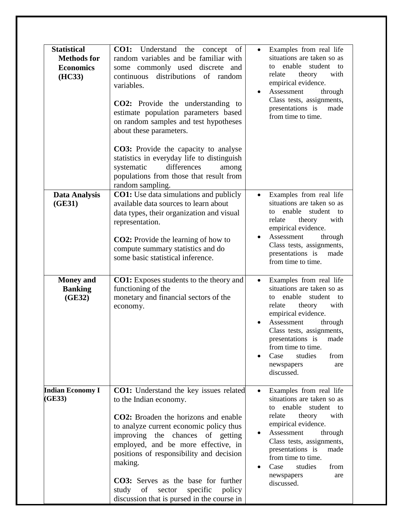| <b>Statistical</b><br><b>Methods for</b><br><b>Economics</b><br>(HC33) | <b>CO1:</b> Understand the concept<br>of<br>random variables and be familiar with<br>some commonly used discrete and<br>distributions of random<br>continuous<br>variables.<br>CO2: Provide the understanding to<br>estimate population parameters based<br>on random samples and test hypotheses<br>about these parameters.                                                                                                                 | Examples from real life<br>situations are taken so as<br>enable<br>student<br>to<br>to<br>with<br>theory<br>relate<br>empirical evidence.<br>Assessment<br>through<br>$\bullet$<br>Class tests, assignments,<br>presentations is<br>made<br>from time to time.                                                                         |
|------------------------------------------------------------------------|----------------------------------------------------------------------------------------------------------------------------------------------------------------------------------------------------------------------------------------------------------------------------------------------------------------------------------------------------------------------------------------------------------------------------------------------|----------------------------------------------------------------------------------------------------------------------------------------------------------------------------------------------------------------------------------------------------------------------------------------------------------------------------------------|
|                                                                        | <b>CO3:</b> Provide the capacity to analyse<br>statistics in everyday life to distinguish<br>systematic<br>differences<br>among<br>populations from those that result from<br>random sampling.                                                                                                                                                                                                                                               |                                                                                                                                                                                                                                                                                                                                        |
| <b>Data Analysis</b><br>(GE31)                                         | <b>CO1:</b> Use data simulations and publicly<br>available data sources to learn about<br>data types, their organization and visual<br>representation.<br><b>CO2:</b> Provide the learning of how to<br>compute summary statistics and do<br>some basic statistical inference.                                                                                                                                                               | Examples from real life<br>$\bullet$<br>situations are taken so as<br>enable<br>student to<br>to<br>relate<br>theory<br>with<br>empirical evidence.<br>Assessment<br>through<br>Class tests, assignments,<br>presentations is<br>made<br>from time to time.                                                                            |
| <b>Money</b> and<br><b>Banking</b><br>(GE32)                           | <b>CO1:</b> Exposes students to the theory and<br>functioning of the<br>monetary and financial sectors of the<br>economy.                                                                                                                                                                                                                                                                                                                    | Examples from real life<br>$\bullet$<br>situations are taken so as<br>enable<br>student to<br>to<br>relate<br>theory<br>with<br>empirical evidence.<br>Assessment<br>through<br>Class tests, assignments,<br>presentations is<br>made<br>from time to time.<br>Case<br>studies<br>from<br>newspapers<br>are<br>discussed.              |
| <b>Indian Economy I</b><br>(GE33)                                      | <b>CO1:</b> Understand the key issues related<br>to the Indian economy.<br><b>CO2</b> : Broaden the horizons and enable<br>to analyze current economic policy thus<br>improving the chances of getting<br>employed, and be more effective, in<br>positions of responsibility and decision<br>making.<br><b>CO3:</b> Serves as the base for further<br>study of<br>specific<br>sector<br>policy<br>discussion that is pursed in the course in | Examples from real life<br>$\bullet$<br>situations are taken so as<br>enable<br>student to<br>tΩ<br>relate<br>theory<br>with<br>empirical evidence.<br>Assessment<br>through<br>Class tests, assignments,<br>presentations is<br>made<br>from time to time.<br>Case<br>studies<br>from<br>$\bullet$<br>newspapers<br>are<br>discussed. |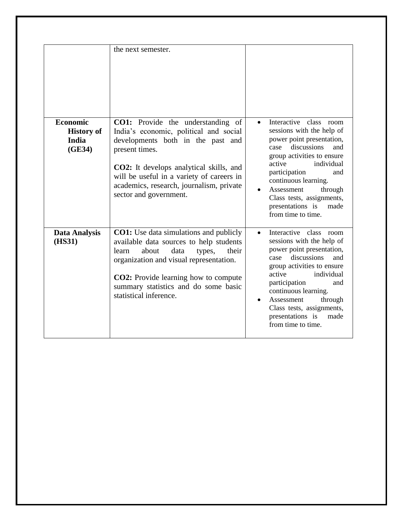|                                                         | the next semester.                                                                                                                                                                                                                                                                                             |                                                                                                                                                                                                                                                                                                                                           |
|---------------------------------------------------------|----------------------------------------------------------------------------------------------------------------------------------------------------------------------------------------------------------------------------------------------------------------------------------------------------------------|-------------------------------------------------------------------------------------------------------------------------------------------------------------------------------------------------------------------------------------------------------------------------------------------------------------------------------------------|
| <b>Economic</b><br><b>History of</b><br>India<br>(GE34) | <b>CO1:</b> Provide the understanding of<br>India's economic, political and social<br>developments both in the past and<br>present times.<br><b>CO2:</b> It develops analytical skills, and<br>will be useful in a variety of careers in<br>academics, research, journalism, private<br>sector and government. | Interactive class room<br>sessions with the help of<br>power point presentation,<br>discussions<br>case<br>and<br>group activities to ensure<br>active<br>individual<br>participation<br>and<br>continuous learning.<br>Assessment<br>through<br>Class tests, assignments,<br>presentations is<br>made<br>from time to time.              |
| <b>Data Analysis</b><br>(HS31)                          | <b>CO1:</b> Use data simulations and publicly<br>available data sources to help students<br>about<br>data<br>their<br>learn<br>types,<br>organization and visual representation.<br><b>CO2:</b> Provide learning how to compute<br>summary statistics and do some basic<br>statistical inference.              | Interactive class room<br>$\bullet$<br>sessions with the help of<br>power point presentation,<br>discussions<br>and<br>case<br>group activities to ensure<br>active<br>individual<br>participation<br>and<br>continuous learning.<br>Assessment<br>through<br>Class tests, assignments,<br>presentations is<br>made<br>from time to time. |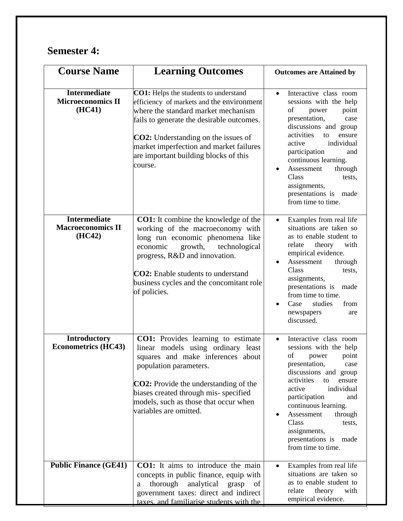### **Semester 4:**

| <b>Course Name</b>                                        | <b>Learning Outcomes</b>                                                                                                                                                                                                                                                                                                   | <b>Outcomes are Attained by</b>                                                                                                                                                                                                                                                                                                                               |
|-----------------------------------------------------------|----------------------------------------------------------------------------------------------------------------------------------------------------------------------------------------------------------------------------------------------------------------------------------------------------------------------------|---------------------------------------------------------------------------------------------------------------------------------------------------------------------------------------------------------------------------------------------------------------------------------------------------------------------------------------------------------------|
| <b>Intermediate</b><br><b>Microeconomics II</b><br>(HC41) | <b>CO1:</b> Helps the students to understand<br>efficiency of markets and the environment<br>where the standard market mechanism<br>fails to generate the desirable outcomes.<br><b>CO2:</b> Understanding on the issues of<br>market imperfection and market failures<br>are important building blocks of this<br>course. | Interactive class room<br>$\bullet$<br>sessions with the help<br>of<br>power<br>point<br>presentation,<br>case<br>discussions and group<br>activities<br>to<br>ensure<br>individual<br>active<br>participation<br>and<br>continuous learning.<br>Assessment<br>through<br>٠<br>Class<br>tests,<br>assignments,<br>presentations is made<br>from time to time. |
| Intermediate<br><b>Macroeconomics II</b><br>(HC42)        | <b>CO1:</b> It combine the knowledge of the<br>working of the macroeconomy with<br>long run economic phenomena like<br>economic<br>growth,<br>technological<br>progress, R&D and innovation.<br><b>CO2</b> : Enable students to understand<br>business cycles and the concomitant role<br>of policies.                     | Examples from real life<br>$\bullet$<br>situations are taken so<br>as to enable student to<br>theory<br>relate<br>with<br>empirical evidence.<br>Assessment<br>through<br>Class<br>tests,<br>assignments,<br>presentations is<br>made<br>from time to time.<br>Case<br>studies<br>from<br>newspapers<br>are<br>discussed.                                     |
| <b>Introductory</b><br><b>Econometrics (HC43)</b>         | <b>CO1:</b> Provides learning to estimate<br>linear models using ordinary least<br>squares and make inferences about<br>population parameters.<br><b>CO2:</b> Provide the understanding of the<br>biases created through mis-specified<br>models, such as those that occur when<br>variables are omitted.                  | Interactive class room<br>$\bullet$<br>sessions with the help<br>of<br>point<br>power<br>presentation,<br>case<br>discussions and group<br>activities<br>to<br>ensure<br>active<br>individual<br>participation<br>and<br>continuous learning.<br>Assessment<br>through<br>Class<br>tests,<br>assignments,<br>presentations is<br>made<br>from time to time.   |
| <b>Public Finance (GE41)</b>                              | CO1: It aims to introduce the main<br>concepts in public finance, equip with<br>thorough<br>analytical<br>grasp<br>of<br>a<br>government taxes: direct and indirect<br>taxes and familiarise students with the                                                                                                             | Examples from real life<br>٠<br>situations are taken so<br>as to enable student to<br>theory<br>with<br>relate<br>empirical evidence.                                                                                                                                                                                                                         |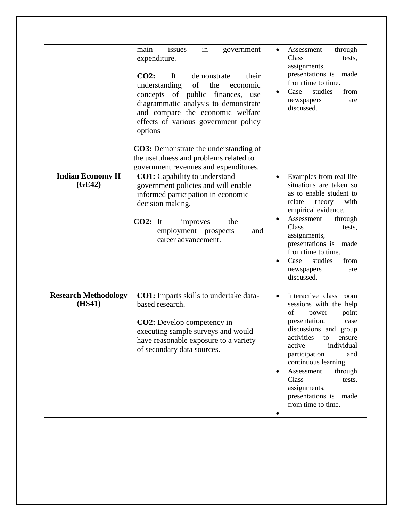|                                       | issues<br>main<br>in<br>government<br>expenditure.<br>CO2:<br>It<br>demonstrate<br>their<br>of<br>understanding<br>the<br>economic<br>concepts of public finances,<br>use<br>diagrammatic analysis to demonstrate<br>and compare the economic welfare<br>effects of various government policy<br>options<br><b>CO3:</b> Demonstrate the understanding of<br>the usefulness and problems related to | through<br>Assessment<br>$\bullet$<br>Class<br>tests,<br>assignments,<br>presentations is<br>made<br>from time to time.<br>studies<br>Case<br>from<br>newspapers<br>are<br>discussed.                                                                                                                                                                    |
|---------------------------------------|----------------------------------------------------------------------------------------------------------------------------------------------------------------------------------------------------------------------------------------------------------------------------------------------------------------------------------------------------------------------------------------------------|----------------------------------------------------------------------------------------------------------------------------------------------------------------------------------------------------------------------------------------------------------------------------------------------------------------------------------------------------------|
| <b>Indian Economy II</b><br>(GE42)    | government revenues and expenditures.<br><b>CO1:</b> Capability to understand<br>government policies and will enable<br>informed participation in economic<br>decision making.<br><b>CO2:</b><br>It<br>the<br>improves<br>employment prospects<br>and<br>career advancement.                                                                                                                       | Examples from real life<br>situations are taken so<br>as to enable student to<br>relate<br>theory<br>with<br>empirical evidence.<br>Assessment<br>through<br>Class<br>tests,<br>assignments,<br>presentations is<br>made<br>from time to time.<br>Case<br>studies<br>from<br>$\bullet$<br>newspapers<br>are<br>discussed.                                |
| <b>Research Methodology</b><br>(HS41) | <b>CO1:</b> Imparts skills to undertake data-<br>based research.<br><b>CO2</b> : Develop competency in<br>executing sample surveys and would<br>have reasonable exposure to a variety<br>of secondary data sources.                                                                                                                                                                                | Interactive class room<br>$\bullet$<br>sessions with the help<br>of<br>point<br>power<br>presentation,<br>case<br>discussions and group<br>activities<br>to<br>ensure<br>active<br>individual<br>participation<br>and<br>continuous learning.<br>Assessment<br>through<br>Class<br>tests,<br>assignments,<br>presentations is made<br>from time to time. |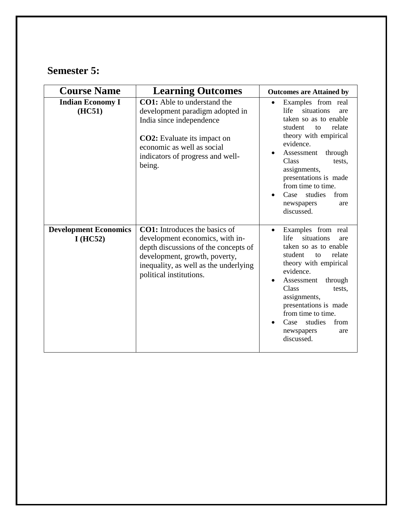#### **Semester 5:**

| <b>Course Name</b>                      | <b>Learning Outcomes</b>                                                                                                                                                                                              | <b>Outcomes are Attained by</b>                                                                                                                                                                                                                                                                                                 |
|-----------------------------------------|-----------------------------------------------------------------------------------------------------------------------------------------------------------------------------------------------------------------------|---------------------------------------------------------------------------------------------------------------------------------------------------------------------------------------------------------------------------------------------------------------------------------------------------------------------------------|
| <b>Indian Economy I</b><br>(HC51)       | <b>CO1</b> : Able to understand the<br>development paradigm adopted in<br>India since independence<br><b>CO2</b> : Evaluate its impact on<br>economic as well as social<br>indicators of progress and well-<br>being. | Examples from real<br>$\bullet$<br>situations<br>life<br>are<br>taken so as to enable<br>student<br>relate<br>to<br>theory with empirical<br>evidence.<br>Assessment<br>through<br>Class<br>tests,<br>assignments,<br>presentations is made<br>from time to time.<br>Case<br>studies<br>from<br>newspapers<br>are<br>discussed. |
| <b>Development Economics</b><br>I(HC52) | <b>CO1:</b> Introduces the basics of<br>development economics, with in-<br>depth discussions of the concepts of<br>development, growth, poverty,<br>inequality, as well as the underlying<br>political institutions.  | Examples from real<br>$\bullet$<br>life<br>situations<br>are<br>taken so as to enable<br>student<br>relate<br>to<br>theory with empirical<br>evidence.<br>Assessment<br>through<br>Class<br>tests,<br>assignments,<br>presentations is made<br>from time to time.<br>Case<br>studies<br>from<br>newspapers<br>are<br>discussed. |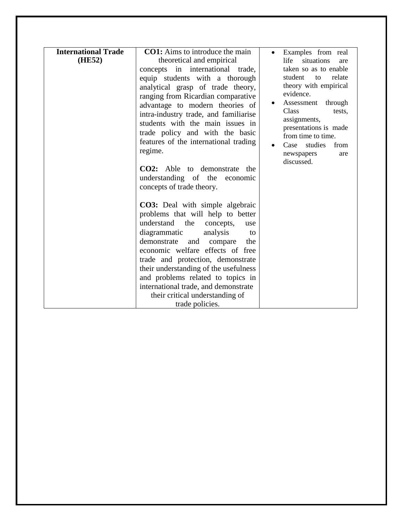| <b>International Trade</b><br>(HE52) | <b>CO1</b> : Aims to introduce the main<br>theoretical and empirical<br>concepts in international trade,<br>equip students with a thorough<br>analytical grasp of trade theory,<br>ranging from Ricardian comparative<br>advantage to modern theories of<br>intra-industry trade, and familiarise<br>students with the main issues in<br>trade policy and with the basic<br>features of the international trading<br>regime. | Examples from real<br>life<br>situations<br>are<br>taken so as to enable<br>student<br>relate<br>to<br>theory with empirical<br>evidence.<br>Assessment through<br>Class<br>tests,<br>assignments,<br>presentations is made<br>from time to time.<br>studies<br>Case<br>from |
|--------------------------------------|------------------------------------------------------------------------------------------------------------------------------------------------------------------------------------------------------------------------------------------------------------------------------------------------------------------------------------------------------------------------------------------------------------------------------|------------------------------------------------------------------------------------------------------------------------------------------------------------------------------------------------------------------------------------------------------------------------------|
|                                      | <b>CO2:</b> Able to demonstrate<br>the<br>understanding of the economic<br>concepts of trade theory.<br><b>CO3:</b> Deal with simple algebraic                                                                                                                                                                                                                                                                               | newspapers<br>are<br>discussed.                                                                                                                                                                                                                                              |
|                                      | problems that will help to better<br>understand the<br>concepts,<br>use<br>diagrammatic<br>analysis<br>to<br>demonstrate<br>and<br>compare<br>the<br>economic welfare effects of free<br>trade and protection, demonstrate                                                                                                                                                                                                   |                                                                                                                                                                                                                                                                              |
|                                      | their understanding of the usefulness<br>and problems related to topics in<br>international trade, and demonstrate<br>their critical understanding of<br>trade policies.                                                                                                                                                                                                                                                     |                                                                                                                                                                                                                                                                              |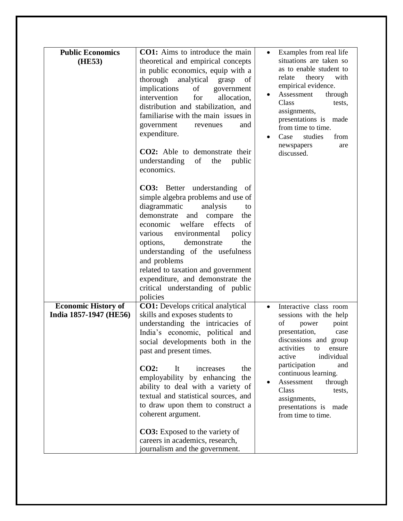|                                                      | <b>CO1:</b> Aims to introduce the main                                                                                                                                                                                                                                                                                                                                                                                                                                                                                                         |                                                                                                                                                                                                                                                                                                                                                |
|------------------------------------------------------|------------------------------------------------------------------------------------------------------------------------------------------------------------------------------------------------------------------------------------------------------------------------------------------------------------------------------------------------------------------------------------------------------------------------------------------------------------------------------------------------------------------------------------------------|------------------------------------------------------------------------------------------------------------------------------------------------------------------------------------------------------------------------------------------------------------------------------------------------------------------------------------------------|
| <b>Public Economics</b><br>(HE53)                    | theoretical and empirical concepts<br>in public economics, equip with a<br>analytical<br>thorough<br>grasp<br>of<br>implications<br>of<br>government<br>intervention<br>for<br>allocation,<br>distribution and stabilization, and<br>familiarise with the main issues in<br>government<br>and<br>revenues<br>expenditure.<br>CO2: Able to demonstrate their<br>understanding<br>of<br>public<br>the<br>economics.                                                                                                                              | Examples from real life<br>situations are taken so<br>as to enable student to<br>with<br>relate theory<br>empirical evidence.<br>Assessment<br>through<br>Class<br>tests,<br>assignments,<br>presentations is made<br>from time to time.<br>studies<br>from<br>Case<br>newspapers<br>are<br>discussed.                                         |
|                                                      | <b>CO3:</b> Better understanding<br>of<br>simple algebra problems and use of<br>diagrammatic<br>analysis<br>to<br>demonstrate and compare<br>the<br>welfare<br>effects<br>economic<br>of<br>various<br>environmental<br>policy<br>the<br>options,<br>demonstrate<br>understanding of the usefulness<br>and problems<br>related to taxation and government<br>expenditure, and demonstrate the<br>critical understanding of public<br>policies                                                                                                  |                                                                                                                                                                                                                                                                                                                                                |
| <b>Economic History of</b><br>India 1857-1947 (HE56) | <b>CO1:</b> Develops critical analytical<br>skills and exposes students to<br>understanding the intricacies of<br>India's economic, political and<br>social developments both in the<br>past and present times.<br>$CO2$ :<br>It<br>increases<br>the<br>employability by enhancing<br>the<br>ability to deal with a variety of<br>textual and statistical sources, and<br>to draw upon them to construct a<br>coherent argument.<br><b>CO3:</b> Exposed to the variety of<br>careers in academics, research,<br>journalism and the government. | Interactive class room<br>sessions with the help<br>οf<br>power<br>point<br>presentation,<br>case<br>discussions and group<br>activities<br>ensure<br>to<br>active<br>individual<br>participation<br>and<br>continuous learning.<br>Assessment<br>through<br>Class<br>tests,<br>assignments,<br>presentations is<br>made<br>from time to time. |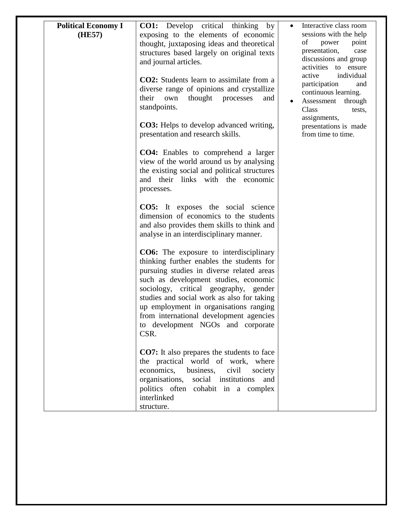| <b>Political Economy I</b><br>(HE57) | <b>CO1:</b> Develop critical thinking<br>by<br>exposing to the elements of economic<br>thought, juxtaposing ideas and theoretical<br>structures based largely on original texts<br>and journal articles.<br><b>CO2</b> : Students learn to assimilate from a<br>diverse range of opinions and crystallize<br>their<br>thought processes<br>own<br>and<br>standpoints.<br><b>CO3:</b> Helps to develop advanced writing,<br>presentation and research skills.<br><b>CO4:</b> Enables to comprehend a larger<br>view of the world around us by analysing<br>the existing social and political structures | Interactive class room<br>sessions with the help<br>of<br>power<br>point<br>presentation,<br>case<br>discussions and group<br>activities to ensure<br>individual<br>active<br>participation<br>and<br>continuous learning.<br>Assessment through<br>٠<br>Class<br>tests,<br>assignments,<br>presentations is made<br>from time to time. |
|--------------------------------------|--------------------------------------------------------------------------------------------------------------------------------------------------------------------------------------------------------------------------------------------------------------------------------------------------------------------------------------------------------------------------------------------------------------------------------------------------------------------------------------------------------------------------------------------------------------------------------------------------------|-----------------------------------------------------------------------------------------------------------------------------------------------------------------------------------------------------------------------------------------------------------------------------------------------------------------------------------------|
|                                      | and their links with the economic<br>processes.<br><b>CO5:</b> It exposes the social science<br>dimension of economics to the students<br>and also provides them skills to think and<br>analyse in an interdisciplinary manner.                                                                                                                                                                                                                                                                                                                                                                        |                                                                                                                                                                                                                                                                                                                                         |
|                                      | <b>CO6:</b> The exposure to interdisciplinary<br>thinking further enables the students for<br>pursuing studies in diverse related areas<br>such as development studies, economic<br>sociology, critical geography, gender<br>studies and social work as also for taking<br>up employment in organisations ranging<br>from international development agencies<br>to development NGOs and corporate<br>CSR.                                                                                                                                                                                              |                                                                                                                                                                                                                                                                                                                                         |
|                                      | <b>CO7:</b> It also prepares the students to face<br>the practical world of work, where<br>economics,<br>business,<br>civil<br>society<br>organisations,<br>social institutions<br>and<br>politics often cohabit in a complex<br>interlinked<br>structure.                                                                                                                                                                                                                                                                                                                                             |                                                                                                                                                                                                                                                                                                                                         |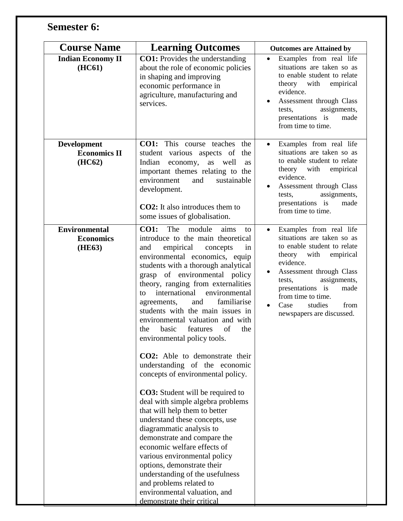## **Semester 6:**

| <b>Course Name</b>                                  | <b>Learning Outcomes</b>                                                                                                                                                                                                                                                                                                                                                                                                                                                                                                                                                                                                                                                                                                                                                                                                                                                                                                                                                                                                                          | <b>Outcomes are Attained by</b>                                                                                                                                                                                                                                                                               |
|-----------------------------------------------------|---------------------------------------------------------------------------------------------------------------------------------------------------------------------------------------------------------------------------------------------------------------------------------------------------------------------------------------------------------------------------------------------------------------------------------------------------------------------------------------------------------------------------------------------------------------------------------------------------------------------------------------------------------------------------------------------------------------------------------------------------------------------------------------------------------------------------------------------------------------------------------------------------------------------------------------------------------------------------------------------------------------------------------------------------|---------------------------------------------------------------------------------------------------------------------------------------------------------------------------------------------------------------------------------------------------------------------------------------------------------------|
| <b>Indian Economy II</b><br>(HC61)                  | <b>CO1:</b> Provides the understanding<br>about the role of economic policies<br>in shaping and improving<br>economic performance in<br>agriculture, manufacturing and<br>services.                                                                                                                                                                                                                                                                                                                                                                                                                                                                                                                                                                                                                                                                                                                                                                                                                                                               | Examples from real life<br>situations are taken so as<br>to enable student to relate<br>theory with<br>empirical<br>evidence.<br>Assessment through Class<br>$\bullet$<br>assignments,<br>tests,<br>presentations is<br>made<br>from time to time.                                                            |
| <b>Development</b><br><b>Economics II</b><br>(HC62) | <b>CO1:</b> This course teaches the<br>student various aspects of<br>the<br>Indian<br>economy,<br>as well<br>as<br>important themes relating to the<br>environment<br>sustainable<br>and<br>development.<br><b>CO2:</b> It also introduces them to<br>some issues of globalisation.                                                                                                                                                                                                                                                                                                                                                                                                                                                                                                                                                                                                                                                                                                                                                               | Examples from real life<br>$\bullet$<br>situations are taken so as<br>to enable student to relate<br>theory with<br>empirical<br>evidence.<br>Assessment through Class<br>assignments,<br>tests,<br>presentations is<br>made<br>from time to time.                                                            |
| <b>Environmental</b><br><b>Economics</b><br>(HE63)  | <b>CO1:</b><br>The<br>module<br>aims<br>to<br>introduce to the main theoretical<br>empirical<br>and<br>concepts<br>in<br>environmental economics, equip<br>students with a thorough analytical<br>grasp of environmental policy<br>theory, ranging from externalities<br>international<br>environmental<br>to<br>familiarise<br>agreements,<br>and<br>students with the main issues in<br>environmental valuation and with<br>of<br>the<br>the<br>basic<br>features<br>environmental policy tools.<br>CO2: Able to demonstrate their<br>understanding of the economic<br>concepts of environmental policy.<br><b>CO3:</b> Student will be required to<br>deal with simple algebra problems<br>that will help them to better<br>understand these concepts, use<br>diagrammatic analysis to<br>demonstrate and compare the<br>economic welfare effects of<br>various environmental policy<br>options, demonstrate their<br>understanding of the usefulness<br>and problems related to<br>environmental valuation, and<br>demonstrate their critical | Examples from real life<br>situations are taken so as<br>to enable student to relate<br>theory<br>with<br>empirical<br>evidence.<br>Assessment through Class<br>assignments,<br>tests,<br>presentations is<br>made<br>from time to time.<br>studies<br>from<br>Case<br>$\bullet$<br>newspapers are discussed. |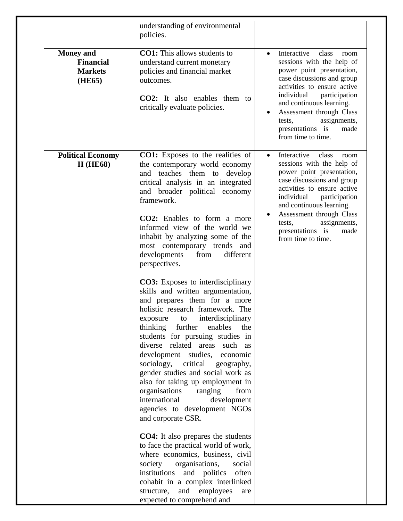|                                                                  | understanding of environmental<br>policies.                                                                                                                                                                                                                                                                                                                                                                                                                                                                                                                                                                                                                                                                                                                                                                                                                                                                                                                                                                                                                                                                                                                                                                                                                                                               |                                                                                                                                                                                                                                                                                                                                          |
|------------------------------------------------------------------|-----------------------------------------------------------------------------------------------------------------------------------------------------------------------------------------------------------------------------------------------------------------------------------------------------------------------------------------------------------------------------------------------------------------------------------------------------------------------------------------------------------------------------------------------------------------------------------------------------------------------------------------------------------------------------------------------------------------------------------------------------------------------------------------------------------------------------------------------------------------------------------------------------------------------------------------------------------------------------------------------------------------------------------------------------------------------------------------------------------------------------------------------------------------------------------------------------------------------------------------------------------------------------------------------------------|------------------------------------------------------------------------------------------------------------------------------------------------------------------------------------------------------------------------------------------------------------------------------------------------------------------------------------------|
| <b>Money</b> and<br><b>Financial</b><br><b>Markets</b><br>(HE65) | <b>CO1:</b> This allows students to<br>understand current monetary<br>policies and financial market<br>outcomes.<br><b>CO2:</b> It also enables them to<br>critically evaluate policies.                                                                                                                                                                                                                                                                                                                                                                                                                                                                                                                                                                                                                                                                                                                                                                                                                                                                                                                                                                                                                                                                                                                  | Interactive<br>class<br>$\bullet$<br>room<br>sessions with the help of<br>power point presentation,<br>case discussions and group<br>activities to ensure active<br>individual<br>participation<br>and continuous learning.<br>Assessment through Class<br>٠<br>assignments,<br>tests,<br>presentations is<br>made<br>from time to time. |
| <b>Political Economy</b><br><b>II</b> (HE68)                     | <b>CO1:</b> Exposes to the realities of<br>the contemporary world economy<br>and teaches them to develop<br>critical analysis in an integrated<br>and broader political economy<br>framework.<br><b>CO2:</b> Enables to form a more<br>informed view of the world we<br>inhabit by analyzing some of the<br>most contemporary trends and<br>developments<br>different<br>from<br>perspectives.<br><b>CO3</b> : Exposes to interdisciplinary<br>skills and written argumentation,<br>and prepares them for a more<br>holistic research framework. The<br>interdisciplinary<br>exposure<br>to<br>thinking<br>further<br>enables<br>the<br>students for pursuing studies in<br>diverse related areas such as<br>development studies, economic<br>sociology,<br>critical<br>geography,<br>gender studies and social work as<br>also for taking up employment in<br>organisations<br>ranging<br>from<br>international<br>development<br>agencies to development NGOs<br>and corporate CSR.<br><b>CO4:</b> It also prepares the students<br>to face the practical world of work,<br>where economics, business, civil<br>society<br>organisations,<br>social<br>institutions<br>and politics<br>often<br>cohabit in a complex interlinked<br>structure,<br>and<br>employees<br>are<br>expected to comprehend and | Interactive<br>class<br>$\bullet$<br>room<br>sessions with the help of<br>power point presentation,<br>case discussions and group<br>activities to ensure active<br>individual<br>participation<br>and continuous learning.<br>Assessment through Class<br>assignments,<br>tests,<br>presentations is<br>made<br>from time to time.      |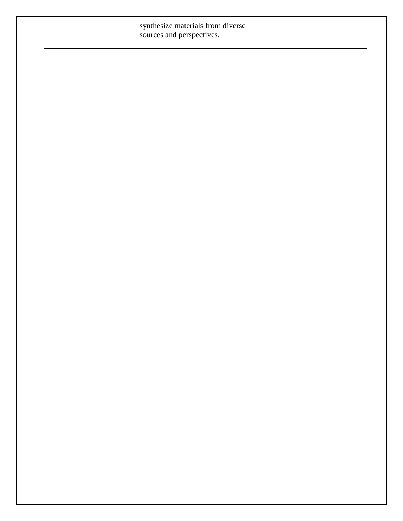| synthesize materials from diverse<br>sources and perspectives. |  |
|----------------------------------------------------------------|--|
|                                                                |  |